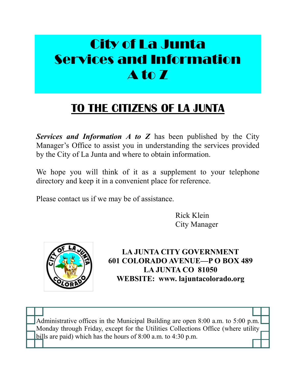# City of La Junta Services and Information A to Z

### **TO THE CITIZENS OF LA JUNTA**

*Services and Information A to Z* has been published by the City Manager's Office to assist you in understanding the services provided by the City of La Junta and where to obtain information.

We hope you will think of it as a supplement to your telephone directory and keep it in a convenient place for reference.

Please contact us if we may be of assistance.

Rick Klein City Manager



**LA JUNTA CITY GOVERNMENT 601 COLORADO AVENUE—P O BOX 489 LA JUNTA CO 81050 WEBSITE: www. lajuntacolorado.org**

Administrative offices in the Municipal Building are open 8:00 a.m. to 5:00 p.m. Monday through Friday, except for the Utilities Collections Office (where utility bills are paid) which has the hours of 8:00 a.m. to 4:30 p.m.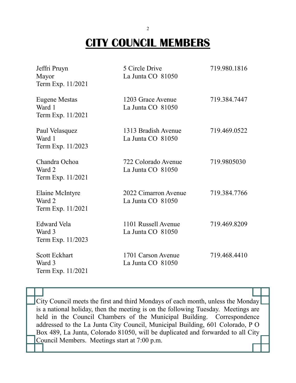## **CITY COUNCIL MEMBERS**

| Jeffri Pruyn<br>Mayor<br>Term Exp. 11/2021          | 5 Circle Drive<br>La Junta CO 81050       | 719.980.1816 |
|-----------------------------------------------------|-------------------------------------------|--------------|
| Eugene Mestas<br>Ward 1<br>Term Exp. 11/2021        | 1203 Grace Avenue<br>La Junta CO 81050    | 719.384.7447 |
| Paul Velasquez<br>Ward 1<br>Term Exp. 11/2023       | 1313 Bradish Avenue<br>La Junta CO 81050  | 719.469.0522 |
| Chandra Ochoa<br>Ward 2<br>Term Exp. 11/2021        | 722 Colorado Avenue<br>La Junta CO 81050  | 719.9805030  |
| Elaine McIntyre<br>Ward 2<br>Term Exp. 11/2021      | 2022 Cimarron Avenue<br>La Junta CO 81050 | 719.384.7766 |
| Edward Vela<br>Ward 3<br>Term Exp. 11/2023          | 1101 Russell Avenue<br>La Junta CO 81050  | 719.469.8209 |
| <b>Scott Eckhart</b><br>Ward 3<br>Term Exp. 11/2021 | 1701 Carson Avenue<br>La Junta CO 81050   | 719.468.4410 |

City Council meets the first and third Mondays of each month, unless the Monday is a national holiday, then the meeting is on the following Tuesday. Meetings are held in the Council Chambers of the Municipal Building. Correspondence addressed to the La Junta City Council, Municipal Building, 601 Colorado, P O Box 489, La Junta, Colorado 81050, will be duplicated and forwarded to all City Council Members. Meetings start at 7:00 p.m.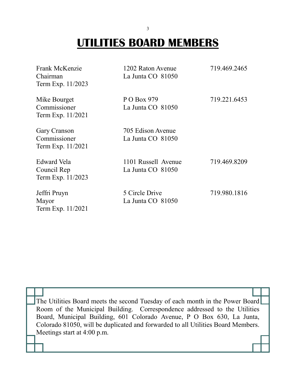### **UTILITIES BOARD MEMBERS**

| Frank McKenzie<br>Chairman<br>Term Exp. 11/2023   | 1202 Raton Avenue<br>La Junta CO 81050   | 719.469.2465 |
|---------------------------------------------------|------------------------------------------|--------------|
| Mike Bourget<br>Commissioner<br>Term Exp. 11/2021 | P O Box 979<br>La Junta CO 81050         | 719.221.6453 |
| Gary Cranson<br>Commissioner<br>Term Exp. 11/2021 | 705 Edison Avenue<br>La Junta CO 81050   |              |
| Edward Vela<br>Council Rep<br>Term Exp. 11/2023   | 1101 Russell Avenue<br>La Junta CO 81050 | 719.469.8209 |
| Jeffri Pruyn<br>Mayor<br>Term Exp. 11/2021        | 5 Circle Drive<br>La Junta CO 81050      | 719.980.1816 |

The Utilities Board meets the second Tuesday of each month in the Power Board Room of the Municipal Building. Correspondence addressed to the Utilities Board, Municipal Building, 601 Colorado Avenue, P O Box 630, La Junta, Colorado 81050, will be duplicated and forwarded to all Utilities Board Members. Meetings start at 4:00 p.m.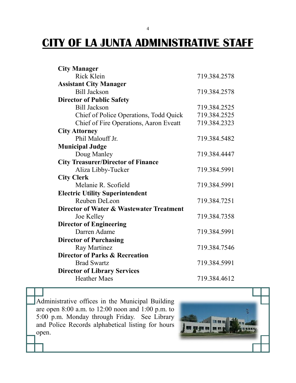### **CITY OF LA JUNTA ADMINISTRATIVE STAFF**

| <b>City Manager</b>                       |              |
|-------------------------------------------|--------------|
| <b>Rick Klein</b>                         | 719.384.2578 |
| <b>Assistant City Manager</b>             |              |
| <b>Bill Jackson</b>                       | 719.384.2578 |
| <b>Director of Public Safety</b>          |              |
| <b>Bill Jackson</b>                       | 719.384.2525 |
| Chief of Police Operations, Todd Quick    | 719.384.2525 |
| Chief of Fire Operations, Aaron Eveatt    | 719.384.2323 |
| <b>City Attorney</b>                      |              |
| Phil Malouff Jr.                          | 719.384.5482 |
| <b>Municipal Judge</b>                    |              |
| Doug Manley                               | 719.384.4447 |
| <b>City Treasurer/Director of Finance</b> |              |
| Aliza Libby-Tucker                        | 719.384.5991 |
| <b>City Clerk</b>                         |              |
| Melanie R. Scofield                       | 719.384.5991 |
| <b>Electric Utility Superintendent</b>    |              |
| Reuben DeLeon                             | 719.384.7251 |
| Director of Water & Wastewater Treatment  |              |
| Joe Kelley                                | 719.384.7358 |
| <b>Director of Engineering</b>            |              |
| Darren Adame                              | 719.384.5991 |
| <b>Director of Purchasing</b>             |              |
| Ray Martinez                              | 719.384.7546 |
| <b>Director of Parks &amp; Recreation</b> |              |
| <b>Brad Swartz</b>                        | 719.384.5991 |
| <b>Director of Library Services</b>       |              |
| <b>Heather Maes</b>                       | 719.384.4612 |

Administrative offices in the Municipal Building are open 8:00 a.m. to 12:00 noon and 1:00 p.m. to 5:00 p.m. Monday through Friday. See Library and Police Records alphabetical listing for hours open.

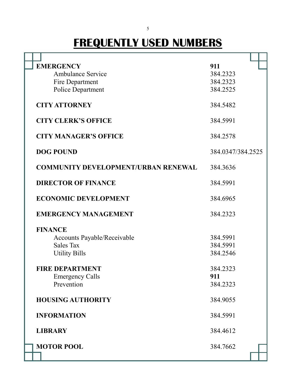## **FREQUENTLY USED NUMBERS**

| <b>EMERGENCY</b>                           | 911               |
|--------------------------------------------|-------------------|
| <b>Ambulance Service</b>                   | 384.2323          |
| Fire Department                            | 384.2323          |
| Police Department                          | 384.2525          |
| <b>CITY ATTORNEY</b>                       | 384.5482          |
| <b>CITY CLERK'S OFFICE</b>                 | 384.5991          |
| <b>CITY MANAGER'S OFFICE</b>               | 384.2578          |
| <b>DOG POUND</b>                           | 384.0347/384.2525 |
| <b>COMMUNITY DEVELOPMENT/URBAN RENEWAL</b> | 384.3636          |
| <b>DIRECTOR OF FINANCE</b>                 | 384.5991          |
| <b>ECONOMIC DEVELOPMENT</b>                | 384.6965          |
| <b>EMERGENCY MANAGEMENT</b>                | 384.2323          |
| <b>FINANCE</b>                             |                   |
| Accounts Payable/Receivable                | 384.5991          |
| <b>Sales Tax</b>                           | 384.5991          |
| <b>Utility Bills</b>                       | 384.2546          |
| <b>FIRE DEPARTMENT</b>                     | 384.2323          |
| <b>Emergency Calls</b>                     | 911               |
| Prevention                                 | 384.2323          |
| <b>HOUSING AUTHORITY</b>                   | 384.9055          |
|                                            |                   |
| <b>INFORMATION</b>                         | 384.5991          |
| <b>LIBRARY</b>                             | 384.4612          |
| <b>MOTOR POOL</b>                          | 384.7662          |
|                                            |                   |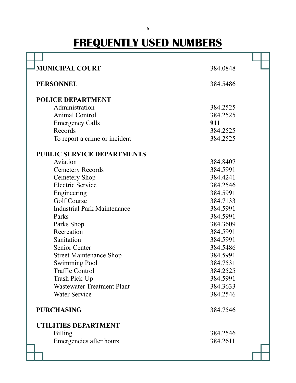# **FREQUENTLY USED NUMBERS**

| <b>MUNICIPAL COURT</b>             | 384.0848 |
|------------------------------------|----------|
| <b>PERSONNEL</b>                   | 384.5486 |
| <b>POLICE DEPARTMENT</b>           |          |
| Administration                     | 384.2525 |
| <b>Animal Control</b>              | 384.2525 |
| <b>Emergency Calls</b>             | 911      |
| Records                            | 384.2525 |
| To report a crime or incident      | 384.2525 |
| <b>PUBLIC SERVICE DEPARTMENTS</b>  |          |
| Aviation                           | 384.8407 |
| <b>Cemetery Records</b>            | 384.5991 |
| <b>Cemetery Shop</b>               | 384.4241 |
| <b>Electric Service</b>            | 384.2546 |
| Engineering                        | 384.5991 |
| Golf Course                        | 384.7133 |
| <b>Industrial Park Maintenance</b> | 384.5991 |
| Parks                              | 384.5991 |
| Parks Shop                         | 384.3609 |
| Recreation                         | 384.5991 |
| Sanitation                         | 384.5991 |
| Senior Center                      | 384.5486 |
| <b>Street Maintenance Shop</b>     | 384.5991 |
| <b>Swimming Pool</b>               | 384.7531 |
| <b>Traffic Control</b>             | 384.2525 |
| Trash Pick-Up                      | 384.5991 |
| <b>Wastewater Treatment Plant</b>  | 384.3633 |
| <b>Water Service</b>               | 384.2546 |
| <b>PURCHASING</b>                  | 384.7546 |
| UTILITIES DEPARTMENT               |          |
| <b>Billing</b>                     | 384.2546 |
| Emergencies after hours            | 384.2611 |
|                                    |          |
|                                    |          |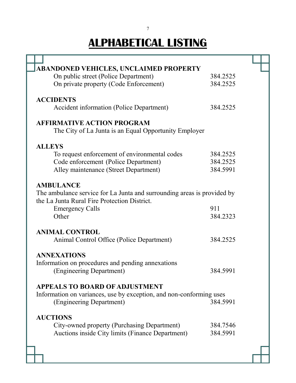| <b>ABANDONED VEHICLES, UNCLAIMED PROPERTY</b>                           |          |
|-------------------------------------------------------------------------|----------|
| On public street (Police Department)                                    | 384.2525 |
| On private property (Code Enforcement)                                  | 384.2525 |
|                                                                         |          |
| <b>ACCIDENTS</b>                                                        |          |
| Accident information (Police Department)                                | 384.2525 |
|                                                                         |          |
| <b>AFFIRMATIVE ACTION PROGRAM</b>                                       |          |
| The City of La Junta is an Equal Opportunity Employer                   |          |
|                                                                         |          |
| <b>ALLEYS</b>                                                           |          |
| To request enforcement of environmental codes                           | 384.2525 |
| Code enforcement (Police Department)                                    | 384.2525 |
| Alley maintenance (Street Department)                                   | 384.5991 |
|                                                                         |          |
| <b>AMBULANCE</b>                                                        |          |
| The ambulance service for La Junta and surrounding areas is provided by |          |
| the La Junta Rural Fire Protection District.                            |          |
| <b>Emergency Calls</b>                                                  | 911      |
| Other                                                                   | 384.2323 |
|                                                                         |          |
| <b>ANIMAL CONTROL</b>                                                   |          |
| Animal Control Office (Police Department)                               | 384.2525 |
|                                                                         |          |
| <b>ANNEXATIONS</b>                                                      |          |
| Information on procedures and pending annexations                       |          |
| (Engineering Department)                                                | 384.5991 |
|                                                                         |          |
| <b>APPEALS TO BOARD OF ADJUSTMENT</b>                                   |          |
| Information on variances, use by exception, and non-conforming uses     |          |
| (Engineering Department)                                                | 384.5991 |
|                                                                         |          |
| <b>AUCTIONS</b>                                                         |          |
| City-owned property (Purchasing Department)                             | 384.7546 |
| Auctions inside City limits (Finance Department)                        | 384.5991 |
|                                                                         |          |
|                                                                         |          |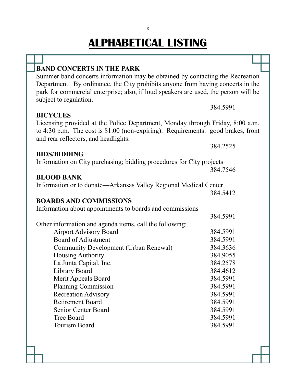| 384.5991 |                                                                                                                                                                                                                                                                                                                                                                                                                                                                                                                                                                                                                                                                                      |
|----------|--------------------------------------------------------------------------------------------------------------------------------------------------------------------------------------------------------------------------------------------------------------------------------------------------------------------------------------------------------------------------------------------------------------------------------------------------------------------------------------------------------------------------------------------------------------------------------------------------------------------------------------------------------------------------------------|
|          |                                                                                                                                                                                                                                                                                                                                                                                                                                                                                                                                                                                                                                                                                      |
|          |                                                                                                                                                                                                                                                                                                                                                                                                                                                                                                                                                                                                                                                                                      |
| 384.2525 |                                                                                                                                                                                                                                                                                                                                                                                                                                                                                                                                                                                                                                                                                      |
|          |                                                                                                                                                                                                                                                                                                                                                                                                                                                                                                                                                                                                                                                                                      |
| 384.7546 |                                                                                                                                                                                                                                                                                                                                                                                                                                                                                                                                                                                                                                                                                      |
|          |                                                                                                                                                                                                                                                                                                                                                                                                                                                                                                                                                                                                                                                                                      |
|          |                                                                                                                                                                                                                                                                                                                                                                                                                                                                                                                                                                                                                                                                                      |
| 384.5412 |                                                                                                                                                                                                                                                                                                                                                                                                                                                                                                                                                                                                                                                                                      |
|          |                                                                                                                                                                                                                                                                                                                                                                                                                                                                                                                                                                                                                                                                                      |
|          |                                                                                                                                                                                                                                                                                                                                                                                                                                                                                                                                                                                                                                                                                      |
|          |                                                                                                                                                                                                                                                                                                                                                                                                                                                                                                                                                                                                                                                                                      |
|          |                                                                                                                                                                                                                                                                                                                                                                                                                                                                                                                                                                                                                                                                                      |
|          |                                                                                                                                                                                                                                                                                                                                                                                                                                                                                                                                                                                                                                                                                      |
|          |                                                                                                                                                                                                                                                                                                                                                                                                                                                                                                                                                                                                                                                                                      |
|          |                                                                                                                                                                                                                                                                                                                                                                                                                                                                                                                                                                                                                                                                                      |
|          |                                                                                                                                                                                                                                                                                                                                                                                                                                                                                                                                                                                                                                                                                      |
|          |                                                                                                                                                                                                                                                                                                                                                                                                                                                                                                                                                                                                                                                                                      |
|          |                                                                                                                                                                                                                                                                                                                                                                                                                                                                                                                                                                                                                                                                                      |
|          |                                                                                                                                                                                                                                                                                                                                                                                                                                                                                                                                                                                                                                                                                      |
|          |                                                                                                                                                                                                                                                                                                                                                                                                                                                                                                                                                                                                                                                                                      |
| 384.5991 |                                                                                                                                                                                                                                                                                                                                                                                                                                                                                                                                                                                                                                                                                      |
| 384.5991 |                                                                                                                                                                                                                                                                                                                                                                                                                                                                                                                                                                                                                                                                                      |
| 384.5991 |                                                                                                                                                                                                                                                                                                                                                                                                                                                                                                                                                                                                                                                                                      |
| 384.5991 |                                                                                                                                                                                                                                                                                                                                                                                                                                                                                                                                                                                                                                                                                      |
| 384.5991 |                                                                                                                                                                                                                                                                                                                                                                                                                                                                                                                                                                                                                                                                                      |
|          | Summer band concerts information may be obtained by contacting the Recreation<br>Department. By ordinance, the City prohibits anyone from having concerts in the<br>park for commercial enterprise; also, if loud speakers are used, the person will be<br>Licensing provided at the Police Department, Monday through Friday, 8:00 a.m.<br>to 4:30 p.m. The cost is \$1.00 (non-expiring). Requirements: good brakes, front<br>Information on City purchasing; bidding procedures for City projects<br>Information or to donate—Arkansas Valley Regional Medical Center<br>384.5991<br>384.5991<br>384.5991<br>384.3636<br>384.9055<br>384.2578<br>384.4612<br>384.5991<br>384.5991 |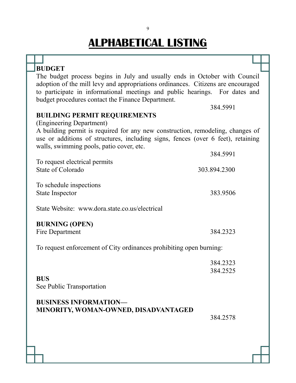| <b>BUDGET</b>                                                                                                                                                                                                                                                                                                  |              |  |
|----------------------------------------------------------------------------------------------------------------------------------------------------------------------------------------------------------------------------------------------------------------------------------------------------------------|--------------|--|
| The budget process begins in July and usually ends in October with Council<br>adoption of the mill levy and appropriations ordinances. Citizens are encouraged<br>to participate in informational meetings and public hearings. For dates and<br>budget procedures contact the Finance Department.<br>384.5991 |              |  |
| <b>BUILDING PERMIT REQUIREMENTS</b>                                                                                                                                                                                                                                                                            |              |  |
| (Engineering Department)                                                                                                                                                                                                                                                                                       |              |  |
| A building permit is required for any new construction, remodeling, changes of<br>use or additions of structures, including signs, fences (over 6 feet), retaining<br>walls, swimming pools, patio cover, etc.                                                                                                 |              |  |
|                                                                                                                                                                                                                                                                                                                | 384.5991     |  |
| To request electrical permits<br>State of Colorado                                                                                                                                                                                                                                                             | 303.894.2300 |  |
| To schedule inspections                                                                                                                                                                                                                                                                                        |              |  |
| <b>State Inspector</b>                                                                                                                                                                                                                                                                                         | 383.9506     |  |
| State Website: www.dora.state.co.us/electrical                                                                                                                                                                                                                                                                 |              |  |
| <b>BURNING (OPEN)</b>                                                                                                                                                                                                                                                                                          |              |  |
| Fire Department                                                                                                                                                                                                                                                                                                | 384.2323     |  |
| To request enforcement of City ordinances prohibiting open burning:                                                                                                                                                                                                                                            |              |  |
|                                                                                                                                                                                                                                                                                                                | 384.2323     |  |
|                                                                                                                                                                                                                                                                                                                | 384.2525     |  |
| <b>BUS</b><br>See Public Transportation                                                                                                                                                                                                                                                                        |              |  |
| <b>BUSINESS INFORMATION-</b>                                                                                                                                                                                                                                                                                   |              |  |
| MINORITY, WOMAN-OWNED, DISADVANTAGED                                                                                                                                                                                                                                                                           |              |  |
|                                                                                                                                                                                                                                                                                                                | 384.2578     |  |
|                                                                                                                                                                                                                                                                                                                |              |  |
|                                                                                                                                                                                                                                                                                                                |              |  |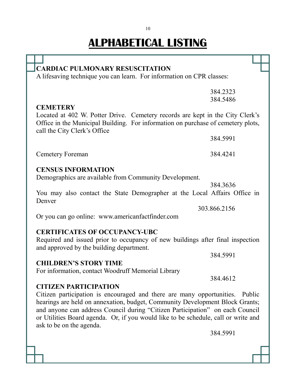| <b>CARDIAC PULMONARY RESUSCITATION</b>                                                                                                                                                                                                                                                                                                                          |              |
|-----------------------------------------------------------------------------------------------------------------------------------------------------------------------------------------------------------------------------------------------------------------------------------------------------------------------------------------------------------------|--------------|
| A lifesaving technique you can learn. For information on CPR classes:                                                                                                                                                                                                                                                                                           |              |
|                                                                                                                                                                                                                                                                                                                                                                 | 384.2323     |
|                                                                                                                                                                                                                                                                                                                                                                 | 384.5486     |
| <b>CEMETERY</b>                                                                                                                                                                                                                                                                                                                                                 |              |
| Located at 402 W. Potter Drive. Cemetery records are kept in the City Clerk's<br>Office in the Municipal Building. For information on purchase of cemetery plots,<br>call the City Clerk's Office                                                                                                                                                               |              |
|                                                                                                                                                                                                                                                                                                                                                                 | 384.5991     |
| <b>Cemetery Foreman</b>                                                                                                                                                                                                                                                                                                                                         | 384.4241     |
| <b>CENSUS INFORMATION</b>                                                                                                                                                                                                                                                                                                                                       |              |
| Demographics are available from Community Development.                                                                                                                                                                                                                                                                                                          |              |
|                                                                                                                                                                                                                                                                                                                                                                 | 384.3636     |
| You may also contact the State Demographer at the Local Affairs Office in<br>Denver                                                                                                                                                                                                                                                                             |              |
|                                                                                                                                                                                                                                                                                                                                                                 | 303.866.2156 |
| Or you can go online: www.americanfactfinder.com                                                                                                                                                                                                                                                                                                                |              |
|                                                                                                                                                                                                                                                                                                                                                                 |              |
| <b>CERTIFICATES OF OCCUPANCY-UBC</b><br>Required and issued prior to occupancy of new buildings after final inspection<br>and approved by the building department.                                                                                                                                                                                              |              |
|                                                                                                                                                                                                                                                                                                                                                                 | 384.5991     |
| <b>CHILDREN'S STORY TIME</b>                                                                                                                                                                                                                                                                                                                                    |              |
| For information, contact Woodruff Memorial Library                                                                                                                                                                                                                                                                                                              |              |
|                                                                                                                                                                                                                                                                                                                                                                 | 384.4612     |
| <b>CITIZEN PARTICIPATION</b>                                                                                                                                                                                                                                                                                                                                    |              |
| Citizen participation is encouraged and there are many opportunities. Public<br>hearings are held on annexation, budget, Community Development Block Grants;<br>and anyone can address Council during "Citizen Participation" on each Council<br>or Utilities Board agenda. Or, if you would like to be schedule, call or write and<br>ask to be on the agenda. |              |
|                                                                                                                                                                                                                                                                                                                                                                 | 384.5991     |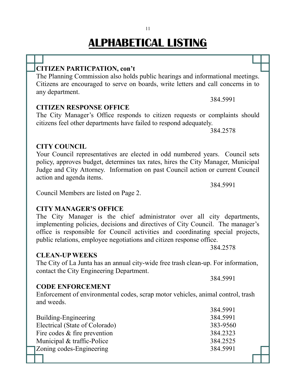### **CITIZEN PARTICPATION, con't**

The Planning Commission also holds public hearings and informational meetings. Citizens are encouraged to serve on boards, write letters and call concerns in to any department.

### **CITIZEN RESPONSE OFFICE**

The City Manager's Office responds to citizen requests or complaints should citizens feel other departments have failed to respond adequately.

384.2578

384.5991

#### Your Council representatives are elected in odd numbered years. Council sets policy, approves budget, determines tax rates, hires the City Manager, Municipal Judge and City Attorney. Information on past Council action or current Council action and agenda items.

Council Members are listed on Page 2.

### **CITY MANAGER'S OFFICE**

#### The City Manager is the chief administrator over all city departments, implementing policies, decisions and directives of City Council. The manager's office is responsible for Council activities and coordinating special projects, public relations, employee negotiations and citizen response office.

### **CLEAN-UP WEEKS**

**CITY COUNCIL**

The City of La Junta has an annual city-wide free trash clean-up. For information, contact the City Engineering Department.

### **CODE ENFORCEMENT**

Enforcement of environmental codes, scrap motor vehicles, animal control, trash and weeds. 204.5001

|                                | <u>504.5991</u> |
|--------------------------------|-----------------|
| Building-Engineering           | 384.5991        |
| Electrical (State of Colorado) | 383-9560        |
| Fire codes $&$ fire prevention | 384.2323        |
| Municipal & traffic-Police     | 384.2525        |
| Zoning codes-Engineering       | 384.5991        |
|                                |                 |

384.5991

384.2578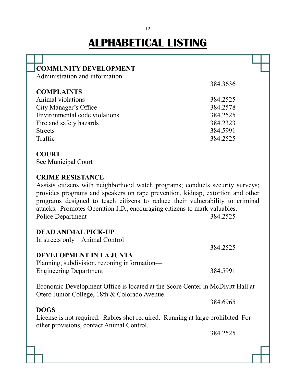| <b>COMMUNITY DEVELOPMENT</b>                                                    |          |  |
|---------------------------------------------------------------------------------|----------|--|
| Administration and information                                                  |          |  |
|                                                                                 | 384.3636 |  |
| <b>COMPLAINTS</b>                                                               |          |  |
| Animal violations                                                               | 384.2525 |  |
| City Manager's Office                                                           | 384.2578 |  |
| Environmental code violations                                                   | 384.2525 |  |
| Fire and safety hazards                                                         | 384.2323 |  |
| <b>Streets</b>                                                                  | 384.5991 |  |
| Traffic                                                                         | 384.2525 |  |
|                                                                                 |          |  |
| <b>COURT</b>                                                                    |          |  |
| See Municipal Court                                                             |          |  |
|                                                                                 |          |  |
|                                                                                 |          |  |
| <b>CRIME RESISTANCE</b>                                                         |          |  |
| Assists citizens with neighborhood watch programs; conducts security surveys;   |          |  |
| provides programs and speakers on rape prevention, kidnap, extortion and other  |          |  |
| programs designed to teach citizens to reduce their vulnerability to criminal   |          |  |
| attacks. Promotes Operation I.D., encouraging citizens to mark valuables.       |          |  |
| Police Department                                                               | 384.2525 |  |
|                                                                                 |          |  |
| <b>DEAD ANIMAL PICK-UP</b>                                                      |          |  |
| In streets only—Animal Control                                                  |          |  |
|                                                                                 | 384.2525 |  |
| DEVELOPMENT IN LA JUNTA                                                         |          |  |
| Planning, subdivision, rezoning information-                                    |          |  |
| <b>Engineering Department</b>                                                   | 384.5991 |  |
|                                                                                 |          |  |
| Economic Development Office is located at the Score Center in McDivitt Hall at  |          |  |
| Otero Junior College, 18th & Colorado Avenue.                                   |          |  |
|                                                                                 |          |  |
|                                                                                 | 384.6965 |  |
| <b>DOGS</b>                                                                     |          |  |
| License is not required. Rabies shot required. Running at large prohibited. For |          |  |
| other provisions, contact Animal Control.                                       |          |  |
|                                                                                 | 384.2525 |  |
|                                                                                 |          |  |
|                                                                                 |          |  |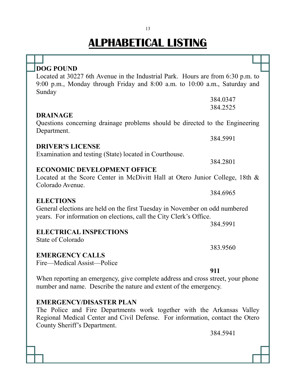| <b>DOG POUND</b>                                                                |          |  |
|---------------------------------------------------------------------------------|----------|--|
| Located at 30227 6th Avenue in the Industrial Park. Hours are from 6:30 p.m. to |          |  |
| 9:00 p.m., Monday through Friday and 8:00 a.m. to 10:00 a.m., Saturday and      |          |  |
| Sunday                                                                          |          |  |
|                                                                                 | 384.0347 |  |
|                                                                                 | 384.2525 |  |
| <b>DRAINAGE</b>                                                                 |          |  |
| Questions concerning drainage problems should be directed to the Engineering    |          |  |
| Department.                                                                     |          |  |
|                                                                                 | 384.5991 |  |
| <b>DRIVER'S LICENSE</b>                                                         |          |  |
| Examination and testing (State) located in Courthouse.                          |          |  |
|                                                                                 | 384.2801 |  |
| <b>ECONOMIC DEVELOPMENT OFFICE</b>                                              |          |  |
| Located at the Score Center in McDivitt Hall at Otero Junior College, 18th &    |          |  |
| Colorado Avenue.                                                                |          |  |
|                                                                                 | 384.6965 |  |
| <b>ELECTIONS</b>                                                                |          |  |
| General elections are held on the first Tuesday in November on odd numbered     |          |  |
| years. For information on elections, call the City Clerk's Office.              |          |  |
|                                                                                 | 384.5991 |  |
| <b>ELECTRICAL INSPECTIONS</b>                                                   |          |  |
| State of Colorado                                                               |          |  |
|                                                                                 | 383.9560 |  |
| <b>EMERGENCY CALLS</b>                                                          |          |  |
| Fire—Medical Assist—Police                                                      |          |  |
|                                                                                 | 911      |  |
| When reporting an emergency, give complete address and cross street, your phone |          |  |
| number and name. Describe the nature and extent of the emergency.               |          |  |
|                                                                                 |          |  |
| <b>EMERGENCY/DISASTER PLAN</b>                                                  |          |  |
| The Police and Fire Departments work together with the Arkansas Valley          |          |  |

Regional Medical Center and Civil Defense. For information, contact the Otero County Sheriff's Department.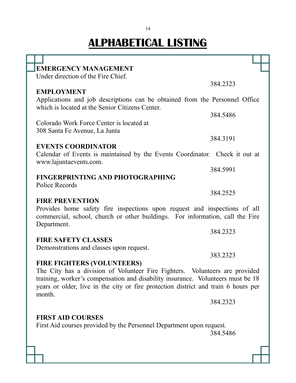ΤΓ T

T

| <b>EMERGENCY MANAGEMENT</b>                                                        |          |
|------------------------------------------------------------------------------------|----------|
| Under direction of the Fire Chief.                                                 |          |
|                                                                                    | 384.2323 |
| <b>EMPLOYMENT</b>                                                                  |          |
| Applications and job descriptions can be obtained from the Personnel Office        |          |
| which is located at the Senior Citizens Center.                                    |          |
|                                                                                    | 384.5486 |
|                                                                                    |          |
| Colorado Work Force Center is located at                                           |          |
| 308 Santa Fe Avenue, La Junta                                                      |          |
|                                                                                    | 384.3191 |
| <b>EVENTS COORDINATOR</b>                                                          |          |
| Calendar of Events is maintained by the Events Coordinator. Check it out at        |          |
| www.lajuntaevents.com.                                                             |          |
|                                                                                    | 384.5991 |
| <b>FINGERPRINTING AND PHOTOGRAPHING</b>                                            |          |
| Police Records                                                                     |          |
|                                                                                    | 384.2525 |
| <b>FIRE PREVENTION</b>                                                             |          |
| Provides home safety fire inspections upon request and inspections of all          |          |
| commercial, school, church or other buildings. For information, call the Fire      |          |
| Department.                                                                        |          |
|                                                                                    | 384.2323 |
| <b>FIRE SAFETY CLASSES</b>                                                         |          |
| Demonstrations and classes upon request.                                           |          |
|                                                                                    | 383.2323 |
| <b>FIRE FIGHTERS (VOLUNTEERS)</b>                                                  |          |
| The City has a division of Volunteer Fire Fighters. Volunteers are provided        |          |
| training, worker's compensation and disability insurance. Volunteers must be 18    |          |
| years or older, live in the city or fire protection district and train 6 hours per |          |
| month.                                                                             |          |
|                                                                                    | 384.2323 |
|                                                                                    |          |
| <b>FIRST AID COURSES</b>                                                           |          |
| First Aid courses provided by the Personnel Department upon request.               |          |
|                                                                                    |          |
|                                                                                    | 384.5486 |
|                                                                                    |          |
|                                                                                    |          |
|                                                                                    |          |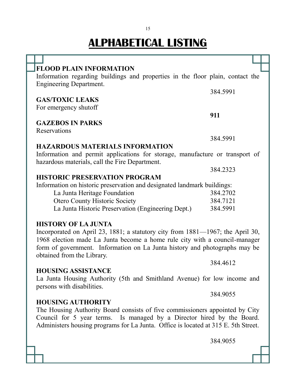| <b>FLOOD PLAIN INFORMATION</b>                                                     |          |  |
|------------------------------------------------------------------------------------|----------|--|
| Information regarding buildings and properties in the floor plain, contact the     |          |  |
| <b>Engineering Department.</b>                                                     |          |  |
|                                                                                    | 384.5991 |  |
| <b>GAS/TOXIC LEAKS</b>                                                             |          |  |
| For emergency shutoff                                                              |          |  |
|                                                                                    | 911      |  |
| <b>GAZEBOS IN PARKS</b>                                                            |          |  |
| Reservations                                                                       |          |  |
|                                                                                    | 384.5991 |  |
| <b>HAZARDOUS MATERIALS INFORMATION</b>                                             |          |  |
| Information and permit applications for storage, manufacture or transport of       |          |  |
| hazardous materials, call the Fire Department.                                     |          |  |
|                                                                                    | 384.2323 |  |
| <b>HISTORIC PRESERVATION PROGRAM</b>                                               |          |  |
| Information on historic preservation and designated landmark buildings:            |          |  |
| La Junta Heritage Foundation                                                       | 384.2702 |  |
| <b>Otero County Historic Society</b>                                               | 384.7121 |  |
| La Junta Historic Preservation (Engineering Dept.)                                 | 384.5991 |  |
|                                                                                    |          |  |
| <b>HISTORY OF LA JUNTA</b>                                                         |          |  |
| Incorporated on April 23, 1881; a statutory city from 1881—1967; the April 30,     |          |  |
| 1968 election made La Junta become a home rule city with a council-manager         |          |  |
| form of government. Information on La Junta history and photographs may be         |          |  |
| obtained from the Library.                                                         | 384.4612 |  |
| <b>HOUSING ASSISTANCE</b>                                                          |          |  |
| La Junta Housing Authority (5th and Smithland Avenue) for low income and           |          |  |
| persons with disabilities.                                                         |          |  |
|                                                                                    | 384.9055 |  |
| <b>HOUSING AUTHORITY</b>                                                           |          |  |
| The Housing Authority Board consists of five commissioners appointed by City       |          |  |
| Council for 5 year terms. Is managed by a Director hired by the Board.             |          |  |
| Administers housing programs for La Junta. Office is located at 315 E. 5th Street. |          |  |
|                                                                                    |          |  |
|                                                                                    |          |  |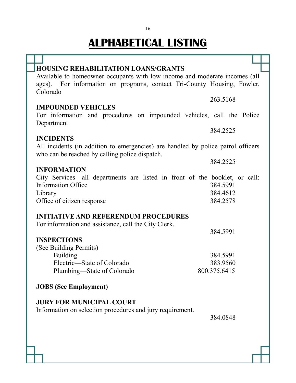| <b>HOUSING REHABILITATION LOANS/GRANTS</b>                                                                                                                        |              |
|-------------------------------------------------------------------------------------------------------------------------------------------------------------------|--------------|
| Available to homeowner occupants with low income and moderate incomes (all<br>ages). For information on programs, contact Tri-County Housing, Fowler,<br>Colorado |              |
|                                                                                                                                                                   | 263.5168     |
| <b>IMPOUNDED VEHICLES</b>                                                                                                                                         |              |
| For information and procedures on impounded vehicles, call the Police<br>Department.                                                                              |              |
|                                                                                                                                                                   | 384.2525     |
| <b>INCIDENTS</b><br>All incidents (in addition to emergencies) are handled by police patrol officers<br>who can be reached by calling police dispatch.            |              |
|                                                                                                                                                                   | 384.2525     |
| <b>INFORMATION</b>                                                                                                                                                |              |
| City Services—all departments are listed in front of the booklet, or call:                                                                                        |              |
| <b>Information Office</b>                                                                                                                                         | 384.5991     |
| Library                                                                                                                                                           | 384.4612     |
| Office of citizen response                                                                                                                                        | 384.2578     |
| <b>INITIATIVE AND REFERENDUM PROCEDURES</b><br>For information and assistance, call the City Clerk.                                                               |              |
|                                                                                                                                                                   | 384.5991     |
| <b>INSPECTIONS</b>                                                                                                                                                |              |
| (See Building Permits)                                                                                                                                            |              |
| <b>Building</b>                                                                                                                                                   | 384.5991     |
| Electric—State of Colorado                                                                                                                                        | 383.9560     |
| Plumbing—State of Colorado                                                                                                                                        | 800.375.6415 |
| <b>JOBS</b> (See Employment)                                                                                                                                      |              |
| <b>JURY FOR MUNICIPAL COURT</b>                                                                                                                                   |              |
| Information on selection procedures and jury requirement.                                                                                                         |              |
|                                                                                                                                                                   | 384.0848     |
|                                                                                                                                                                   |              |
|                                                                                                                                                                   |              |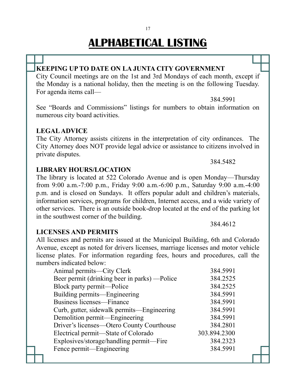#### **KEEPING UP TO DATE ON LA JUNTA CITY GOVERNMENT**

City Council meetings are on the 1st and 3rd Mondays of each month, except if the Monday is a national holiday, then the meeting is on the following Tuesday. For agenda items call—

384.5991

384.5482

See "Boards and Commissions" listings for numbers to obtain information on numerous city board activities.

#### **LEGAL ADVICE**

The City Attorney assists citizens in the interpretation of city ordinances. The City Attorney does NOT provide legal advice or assistance to citizens involved in private disputes.

#### **LIBRARY HOURS/LOCATION**

The library is located at 522 Colorado Avenue and is open Monday—Thursday from 9:00 a.m.-7:00 p.m., Friday 9:00 a.m.-6:00 p.m., Saturday 9:00 a.m.-4:00 p.m. and is closed on Sundays. It offers popular adult and children's materials, information services, programs for children, Internet access, and a wide variety of other services. There is an outside book-drop located at the end of the parking lot in the southwest corner of the building.

#### **LICENSES AND PERMITS**

All licenses and permits are issued at the Municipal Building, 6th and Colorado Avenue, except as noted for drivers licenses, marriage licenses and motor vehicle license plates. For information regarding fees, hours and procedures, call the numbers indicated below:

| Animal permits—City Clerk                     | 384.5991     |
|-----------------------------------------------|--------------|
| Beer permit (drinking beer in parks) — Police | 384.2525     |
| Block party permit—Police                     | 384.2525     |
| Building permits—Engineering                  | 384.5991     |
| Business licenses—Finance                     | 384.5991     |
| Curb, gutter, sidewalk permits—Engineering    | 384.5991     |
| Demolition permit—Engineering                 | 384.5991     |
| Driver's licenses—Otero County Courthouse     | 384.2801     |
| Electrical permit—State of Colorado           | 303.894.2300 |
| Explosives/storage/handling permit—Fire       | 384.2323     |
| Fence permit—Engineering                      | 384.5991     |
|                                               |              |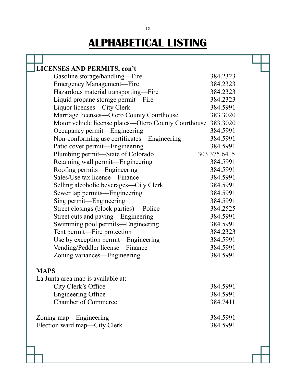Т

| <b>LICENSES AND PERMITS, con't</b>                            |              |  |
|---------------------------------------------------------------|--------------|--|
| Gasoline storage/handling—Fire                                | 384.2323     |  |
| <b>Emergency Management—Fire</b>                              | 384.2323     |  |
| Hazardous material transporting-Fire                          | 384.2323     |  |
| Liquid propane storage permit-Fire                            | 384.2323     |  |
| Liquor licenses—City Clerk                                    | 384.5991     |  |
| Marriage licenses—Otero County Courthouse                     | 383.3020     |  |
| Motor vehicle license plates—Otero County Courthouse 383.3020 |              |  |
| Occupancy permit—Engineering                                  | 384.5991     |  |
| Non-conforming use certificates—Engineering                   | 384.5991     |  |
| Patio cover permit—Engineering                                | 384.5991     |  |
| Plumbing permit—State of Colorado                             | 303.375.6415 |  |
| Retaining wall permit—Engineering                             | 384.5991     |  |
| Roofing permits—Engineering                                   | 384.5991     |  |
| Sales/Use tax license—Finance                                 | 384.5991     |  |
| Selling alcoholic beverages—City Clerk                        | 384.5991     |  |
| Sewer tap permits—Engineering                                 | 384.5991     |  |
| Sing permit—Engineering                                       | 384.5991     |  |
| Street closings (block parties) —Police                       | 384.2525     |  |
| Street cuts and paving—Engineering                            | 384.5991     |  |
| Swimming pool permits—Engineering                             | 384.5991     |  |
| Tent permit-Fire protection                                   | 384.2323     |  |
| Use by exception permit-Engineering                           | 384.5991     |  |
| Vending/Peddler license-Finance                               | 384.5991     |  |
| Zoning variances—Engineering                                  | 384.5991     |  |
|                                                               |              |  |
| <b>MAPS</b>                                                   |              |  |
| La Junta area map is available at:                            |              |  |
| City Clerk's Office                                           | 384.5991     |  |
| <b>Engineering Office</b>                                     | 384.5991     |  |
| <b>Chamber of Commerce</b>                                    | 384.7411     |  |
| Zoning map—Engineering                                        | 384.5991     |  |
| Election ward map-City Clerk                                  | 384.5991     |  |
|                                                               |              |  |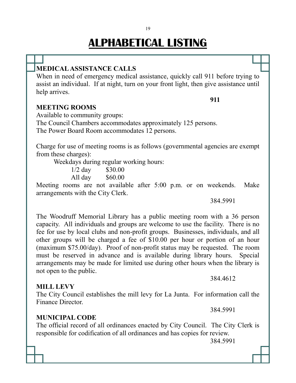### **MEDICAL ASSISTANCE CALLS**

When in need of emergency medical assistance, quickly call 911 before trying to assist an individual. If at night, turn on your front light, then give assistance until help arrives.

#### **MEETING ROOMS**

Available to community groups: The Council Chambers accommodates approximately 125 persons. The Power Board Room accommodates 12 persons.

Charge for use of meeting rooms is as follows (governmental agencies are exempt from these charges):

Weekdays during regular working hours:

1/2 day \$30.00 All day \$60.00

Meeting rooms are not available after 5:00 p.m. or on weekends. Make arrangements with the City Clerk.

384.5991

**911**

The Woodruff Memorial Library has a public meeting room with a 36 person capacity. All individuals and groups are welcome to use the facility. There is no fee for use by local clubs and non-profit groups. Businesses, individuals, and all other groups will be charged a fee of \$10.00 per hour or portion of an hour (maximum \$75.00/day). Proof of non-profit status may be requested. The room must be reserved in advance and is available during library hours. Special arrangements may be made for limited use during other hours when the library is not open to the public.

#### **MILL LEVY**

The City Council establishes the mill levy for La Junta. For information call the Finance Director.

#### **MUNICIPAL CODE**

The official record of all ordinances enacted by City Council. The City Clerk is responsible for codification of all ordinances and has copies for review.

384.5991

384.4612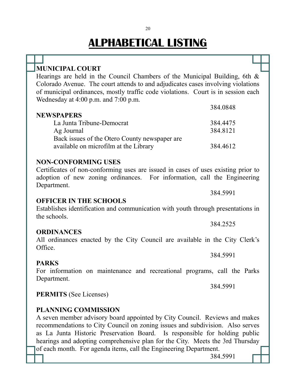| <b>MUNICIPAL COURT</b>                                                                                                                                     |
|------------------------------------------------------------------------------------------------------------------------------------------------------------|
| Hearings are held in the Council Chambers of the Municipal Building, 6th $\&$                                                                              |
| Colorado Avenue. The court attends to and adjudicates cases involving violations                                                                           |
| of municipal ordinances, mostly traffic code violations. Court is in session each                                                                          |
| Wednesday at 4:00 p.m. and 7:00 p.m.                                                                                                                       |
| 384.0848                                                                                                                                                   |
| <b>NEWSPAPERS</b>                                                                                                                                          |
| La Junta Tribune-Democrat<br>384.4475                                                                                                                      |
| 384.8121<br>Ag Journal                                                                                                                                     |
| Back issues of the Otero County newspaper are                                                                                                              |
| available on microfilm at the Library<br>384.4612                                                                                                          |
|                                                                                                                                                            |
| <b>NON-CONFORMING USES</b>                                                                                                                                 |
| Certificates of non-conforming uses are issued in cases of uses existing prior to                                                                          |
| adoption of new zoning ordinances. For information, call the Engineering                                                                                   |
| Department.<br>384.5991                                                                                                                                    |
| <b>OFFICER IN THE SCHOOLS</b>                                                                                                                              |
| Establishes identification and communication with youth through presentations in                                                                           |
| the schools.                                                                                                                                               |
| 384.2525                                                                                                                                                   |
| <b>ORDINANCES</b>                                                                                                                                          |
| All ordinances enacted by the City Council are available in the City Clerk's                                                                               |
| Office.                                                                                                                                                    |
| 384.5991                                                                                                                                                   |
| <b>PARKS</b>                                                                                                                                               |
| For information on maintenance and recreational programs, call the Parks                                                                                   |
| Department.                                                                                                                                                |
| 384.5991                                                                                                                                                   |
| <b>PERMITS</b> (See Licenses)                                                                                                                              |
|                                                                                                                                                            |
| <b>PLANNING COMMISSION</b>                                                                                                                                 |
| A seven member advisory board appointed by City Council. Reviews and makes<br>recommendations to City Council on zoning issues and subdivision Also serves |
|                                                                                                                                                            |

recommendations to City Council on zoning issues and subdivision. Also serves as La Junta Historic Preservation Board. Is responsible for holding public hearings and adopting comprehensive plan for the City. Meets the 3rd Thursday of each month. For agenda items, call the Engineering Department.

384.5991

20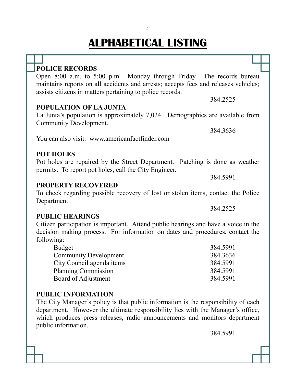#### Open 8:00 a.m. to 5:00 p.m. Monday through Friday. The records bureau maintains reports on all accidents and arrests; accepts fees and releases vehicles; assists citizens in matters pertaining to police records. 384.2525 **POPULATION OF LA JUNTA** La Junta's population is approximately 7,024. Demographics are available from Community Development. 384.3636 You can also visit: www.americanfactfinder.com **POT HOLES** Pot holes are repaired by the Street Department. Patching is done as weather permits. To report pot holes, call the City Engineer. 384.5991

#### **PROPERTY RECOVERED**

To check regarding possible recovery of lost or stolen items, contact the Police Department.

#### **PUBLIC HEARINGS**

**POLICE RECORDS**

Citizen participation is important. Attend public hearings and have a voice in the decision making process. For information on dates and procedures, contact the following:

| 384.5991 |
|----------|
| 384.3636 |
| 384.5991 |
| 384.5991 |
| 384.5991 |
|          |

#### **PUBLIC INFORMATION**

The City Manager's policy is that public information is the responsibility of each department. However the ultimate responsibility lies with the Manager's office, which produces press releases, radio announcements and monitors department public information.

384.5991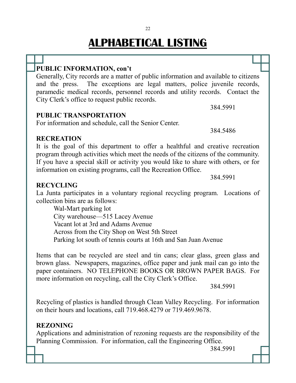#### **PUBLIC INFORMATION, con't**

Generally, City records are a matter of public information and available to citizens and the press. The exceptions are legal matters, police juvenile records, paramedic medical records, personnel records and utility records. Contact the City Clerk's office to request public records.

**PUBLIC TRANSPORTATION**

For information and schedule, call the Senior Center.

384.5486

384.5991

#### **RECREATION**

It is the goal of this department to offer a healthful and creative recreation program through activities which meet the needs of the citizens of the community. If you have a special skill or activity you would like to share with others, or for information on existing programs, call the Recreation Office.

384.5991

#### **RECYCLING**

La Junta participates in a voluntary regional recycling program. Locations of collection bins are as follows:

Wal-Mart parking lot City warehouse—515 Lacey Avenue Vacant lot at 3rd and Adams Avenue Across from the City Shop on West 5th Street Parking lot south of tennis courts at 16th and San Juan Avenue

Items that can be recycled are steel and tin cans; clear glass, green glass and brown glass. Newspapers, magazines, office paper and junk mail can go into the paper containers. NO TELEPHONE BOOKS OR BROWN PAPER BAGS. For more information on recycling, call the City Clerk's Office.

384.5991

Recycling of plastics is handled through Clean Valley Recycling. For information on their hours and locations, call 719.468.4279 or 719.469.9678.

#### **REZONING**

Applications and administration of rezoning requests are the responsibility of the Planning Commission. For information, call the Engineering Office.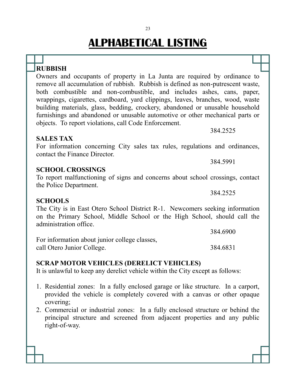### **RUBBISH**

Owners and occupants of property in La Junta are required by ordinance to remove all accumulation of rubbish. Rubbish is defined as non-putrescent waste, both combustible and non-combustible, and includes ashes, cans, paper, wrappings, cigarettes, cardboard, yard clippings, leaves, branches, wood, waste building materials, glass, bedding, crockery, abandoned or unusable household furnishings and abandoned or unusable automotive or other mechanical parts or objects. To report violations, call Code Enforcement.

#### **SALES TAX**

For information concerning City sales tax rules, regulations and ordinances, contact the Finance Director.

#### **SCHOOL CROSSINGS**

To report malfunctioning of signs and concerns about school crossings, contact the Police Department.

#### **SCHOOLS**

The City is in East Otero School District R-1. Newcomers seeking information on the Primary School, Middle School or the High School, should call the administration office.

|                                               | 384.6900 |
|-----------------------------------------------|----------|
| For information about junior college classes, |          |
| call Otero Junior College.                    | 384.6831 |

#### **SCRAP MOTOR VEHICLES (DERELICT VEHICLES)**

It is unlawful to keep any derelict vehicle within the City except as follows:

- 1. Residential zones: In a fully enclosed garage or like structure. In a carport, provided the vehicle is completely covered with a canvas or other opaque covering;
- 2. Commercial or industrial zones: In a fully enclosed structure or behind the principal structure and screened from adjacent properties and any public right-of-way.

384.5991

384.2525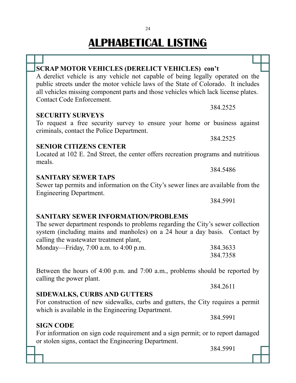**SCRAP MOTOR VEHICLES (DERELICT VEHICLES) con't**

| A derelict vehicle is any vehicle not capable of being legally operated on the                                         |
|------------------------------------------------------------------------------------------------------------------------|
| public streets under the motor vehicle laws of the State of Colorado. It includes                                      |
| all vehicles missing component parts and those vehicles which lack license plates.                                     |
| Contact Code Enforcement.                                                                                              |
| 384.2525                                                                                                               |
| <b>SECURITY SURVEYS</b>                                                                                                |
| To request a free security survey to ensure your home or business against<br>criminals, contact the Police Department. |
| 384.2525                                                                                                               |
| <b>SENIOR CITIZENS CENTER</b>                                                                                          |
| Located at 102 E. 2nd Street, the center offers recreation programs and nutritious<br>meals.                           |
| 384.5486                                                                                                               |
| <b>SANITARY SEWER TAPS</b>                                                                                             |
| Sewer tap permits and information on the City's sewer lines are available from the<br><b>Engineering Department.</b>   |
| 384.5991                                                                                                               |
|                                                                                                                        |

#### **SANITARY SEWER INFORMATION/PROBLEMS**

The sewer department responds to problems regarding the City's sewer collection system (including mains and manholes) on a 24 hour a day basis. Contact by calling the wastewater treatment plant, Monday—Friday, 7:00 a.m. to 4:00 p.m. 384.3633

Between the hours of 4:00 p.m. and 7:00 a.m., problems should be reported by calling the power plant.

For construction of new sidewalks, curbs and gutters, the City requires a permit

#### **SIDEWALKS, CURBS AND GUTTERS**

which is available in the Engineering Department.

### **SIGN CODE**

For information on sign code requirement and a sign permit; or to report damaged or stolen signs, contact the Engineering Department.

384.5991

384.5991

384.7358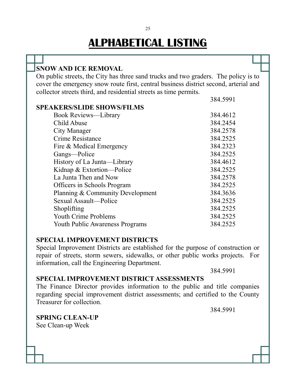| <b>SNOW AND ICE REMOVAL</b>                                                          |          |  |
|--------------------------------------------------------------------------------------|----------|--|
| On public streets, the City has three sand trucks and two graders. The policy is to  |          |  |
| cover the emergency snow route first, central business district second, arterial and |          |  |
| collector streets third, and residential streets as time permits.                    |          |  |
|                                                                                      | 384.5991 |  |
| <b>SPEAKERS/SLIDE SHOWS/FILMS</b>                                                    |          |  |
| <b>Book Reviews—Library</b>                                                          | 384.4612 |  |
| Child Abuse                                                                          | 384.2454 |  |
| City Manager                                                                         | 384.2578 |  |
| Crime Resistance                                                                     | 384.2525 |  |
| Fire & Medical Emergency                                                             | 384.2323 |  |
| Gangs—Police                                                                         | 384.2525 |  |
| History of La Junta-Library                                                          | 384.4612 |  |
| Kidnap & Extortion-Police                                                            | 384.2525 |  |
| La Junta Then and Now                                                                | 384.2578 |  |
| Officers in Schools Program                                                          | 384.2525 |  |
| Planning & Community Development                                                     | 384.3636 |  |
| Sexual Assault-Police                                                                | 384.2525 |  |
| Shoplifting                                                                          | 384.2525 |  |
| <b>Youth Crime Problems</b>                                                          | 384.2525 |  |
| <b>Youth Public Awareness Programs</b>                                               | 384.2525 |  |

#### **SPECIAL IMPROVEMENT DISTRICTS**

Special Improvement Districts are established for the purpose of construction or repair of streets, storm sewers, sidewalks, or other public works projects. For information, call the Engineering Department.

384.5991

#### **SPECIAL IMPROVEMENT DISTRICT ASSESSMENTS**

The Finance Director provides information to the public and title companies regarding special improvement district assessments; and certified to the County Treasurer for collection.

384.5991

**SPRING CLEAN-UP** See Clean-up Week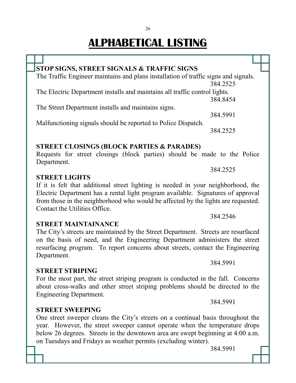26

|  | <b>STOP SIGNS, STREET SIGNALS &amp; TRAFFIC SIGNS</b>                                                                            |  |
|--|----------------------------------------------------------------------------------------------------------------------------------|--|
|  | The Traffic Engineer maintains and plans installation of traffic signs and signals.                                              |  |
|  | 384.2525                                                                                                                         |  |
|  | The Electric Department installs and maintains all traffic control lights.                                                       |  |
|  | 384.8454                                                                                                                         |  |
|  | The Street Department installs and maintains signs.                                                                              |  |
|  | 384.5991                                                                                                                         |  |
|  | Malfunctioning signals should be reported to Police Dispatch.                                                                    |  |
|  | 384.2525                                                                                                                         |  |
|  |                                                                                                                                  |  |
|  |                                                                                                                                  |  |
|  | <b>STREET CLOSINGS (BLOCK PARTIES &amp; PARADES)</b><br>Requests for street closings (block parties) should be made to the Polic |  |

Requests for street closings (block parties) should be made to the Police Department.

#### **STREET LIGHTS**

If it is felt that additional street lighting is needed in your neighborhood, the Electric Department has a rental light program available. Signatures of approval from those in the neighborhood who would be affected by the lights are requested. Contact the Utilities Office.

#### **STREET MAINTAINANCE**

#### The City's streets are maintained by the Street Department. Streets are resurfaced on the basis of need, and the Engineering Department administers the street resurfacing program. To report concerns about streets, contact the Engineering Department.

#### **STREET STRIPING**

**STREET SWEEPING**

#### For the most part, the street striping program is conducted in the fall. Concerns about cross-walks and other street striping problems should be directed to the Engineering Department.

One street sweeper cleans the City's streets on a continual basis throughout the year. However, the street sweeper cannot operate when the temperature drops below 26 degrees. Streets in the downtown area are swept beginning at 4:00 a.m. on Tuesdays and Fridays as weather permits (excluding winter).

384.5991

384.2546

384.2525

384.5991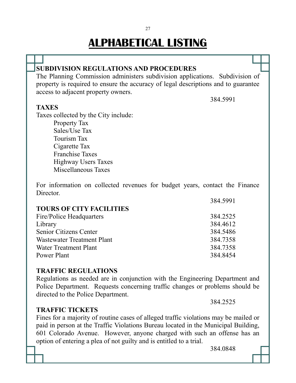#### **SUBDIVISION REGULATIONS AND PROCEDURES** The Planning Commission administers subdivision applications. Subdivision of property is required to ensure the accuracy of legal descriptions and to guarantee access to adjacent property owners. 384.5991 **TAXES** Taxes collected by the City include: Property Tax Sales/Use Tax Tourism Tax Cigarette Tax Franchise Taxes

Highway Users Taxes

Miscellaneous Taxes

For information on collected revenues for budget years, contact the Finance Director

| 384.5991 |
|----------|
|          |
| 384.2525 |
| 384.4612 |
| 384.5486 |
| 384.7358 |
| 384.7358 |
| 384.8454 |
|          |

#### **TRAFFIC REGULATIONS**

Regulations as needed are in conjunction with the Engineering Department and Police Department. Requests concerning traffic changes or problems should be directed to the Police Department.

#### **TRAFFIC TICKETS**

Fines for a majority of routine cases of alleged traffic violations may be mailed or paid in person at the Traffic Violations Bureau located in the Municipal Building, 601 Colorado Avenue. However, anyone charged with such an offense has an option of entering a plea of not guilty and is entitled to a trial.

384.0848

384.2525

#### 27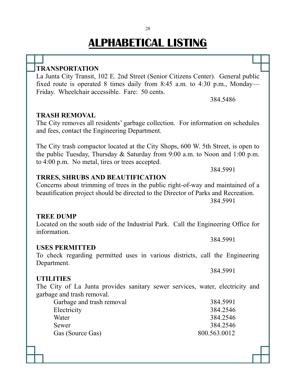### **TRANSPORTATION**

La Junta City Transit, 102 E. 2nd Street (Senior Citizens Center). General public fixed route is operated 8 times daily from 8:45 a.m. to 4:30 p.m., Monday— Friday. Wheelchair accessible. Fare: 50 cents.

384.5486

#### **TRASH REMOVAL**

The City removes all residents' garbage collection. For information on schedules and fees, contact the Engineering Department.

The City trash compactor located at the City Shops, 600 W. 5th Street, is open to the public Tuesday, Thursday & Saturday from 9:00 a.m. to Noon and 1:00 p.m. to 4:00 p.m. No metal, tires or trees accepted.

384.5991

384.5991

384.5991

#### **TRRES, SHRUBS AND BEAUTIFICATION**

#### Concerns about trimming of trees in the public right-of-way and maintained of a beautification project should be directed to the Director of Parks and Recreation. 384.5991

**TREE DUMP**

Located on the south side of the Industrial Park. Call the Engineering Office for information.

#### **USES PERMITTED**

#### To check regarding permitted uses in various districts, call the Engineering Department.

#### **UTILITIES**

The City of La Junta provides sanitary sewer services, water, electricity and garbage and trash removal.

| Garbage and trash removal | 384.5991     |
|---------------------------|--------------|
| Electricity               | 384.2546     |
| Water                     | 384.2546     |
| Sewer                     | 384.2546     |
| Gas (Source Gas)          | 800.563.0012 |

#### 28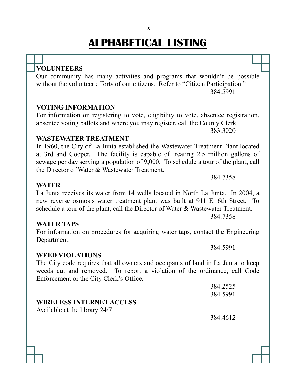### **VOLUNTEERS**

Our community has many activities and programs that wouldn't be possible without the volunteer efforts of our citizens. Refer to "Citizen Participation." 384.5991

#### **VOTING INFORMATION**

For information on registering to vote, eligibility to vote, absentee registration, absentee voting ballots and where you may register, call the County Clerk.

383.3020

#### **WASTEWATER TREATMENT**

In 1960, the City of La Junta established the Wastewater Treatment Plant located at 3rd and Cooper. The facility is capable of treating 2.5 million gallons of sewage per day serving a population of 9,000. To schedule a tour of the plant, call the Director of Water & Wastewater Treatment.

384.7358

384.5991

#### **WATER**

#### La Junta receives its water from 14 wells located in North La Junta. In 2004, a new reverse osmosis water treatment plant was built at 911 E. 6th Street. To schedule a tour of the plant, call the Director of Water & Wastewater Treatment. 384.7358

#### **WATER TAPS**

For information on procedures for acquiring water taps, contact the Engineering Department.

#### **WEED VIOLATIONS**

The City code requires that all owners and occupants of land in La Junta to keep weeds cut and removed. To report a violation of the ordinance, call Code Enforcement or the City Clerk's Office.

|                                 | 384.2525 |
|---------------------------------|----------|
|                                 | 384.5991 |
| <b>WIRELESS INTERNET ACCESS</b> |          |
| Available at the library 24/7.  |          |
|                                 | 384.4612 |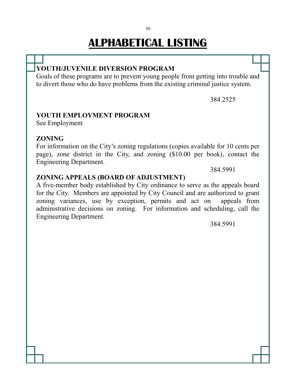#### **YOUTH/JUVENILE DIVERSION PROGRAM**

Goals of these programs are to prevent young people from getting into trouble and to divert those who do have problems from the existing criminal justice system.

384.2525

#### **YOUTH EMPLOYMENT PROGRAM**

See Employment

#### **ZONING**

For information on the City's zoning regulations (copies available for 10 cents per page), zone district in the City, and zoning (\$10.00 per book), contact the Engineering Department.

384.5991

#### **ZONING APPEALS (BOARD OF ADJUSTMENT)**

A five-member body established by City ordinance to serve as the appeals board for the City. Members are appointed by City Council and are authorized to grant zoning variances, use by exception, permits and act on appeals from administrative decisions on zoning. For information and scheduling, call the Engineering Department.